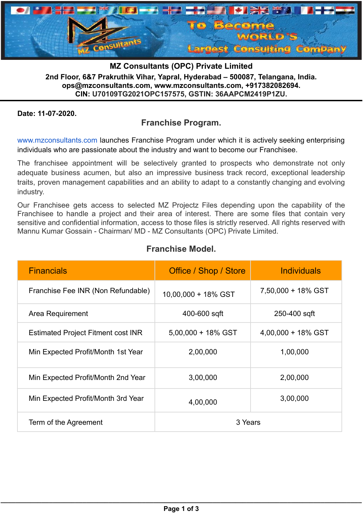

**MZ Consultants (OPC) Private Limited 2nd Floor, 6&7 Prakruthik Vihar, Yapral, Hyderabad – 500087, Telangana, India. ops@mzconsultants.com, www.mzconsultants.com, +917382082694. CIN: U70109TG2021OPC157575, GSTIN: 36AAPCM2419P1ZU.**

### **Date: 11-07-2020.**

# **Franchise Program.**

[www.mzconsultants.com](https://l.facebook.com/l.php?u=http%3A%2F%2Fwww.mzconsultants.com%2F%3Ffbclid%3DIwAR2yMX5Lm9h6lQuRLcLwQwpISQJ0GKuAWPcCI7EN78HSXr_wkIkE3y3T138&h=AT35hZ1IQouQCecILyJt0-fKtopzbc0YU7CjPsMdx0Zp13rW8ebxxz6gs53d4c7ynNW4SSjr25mAuWddNoooBnM6mbW7Z5l4ePdHqeKUu4H4lOedQaI4E79Hsa5nZkvlCvXuAWxVxa8okCvz2Q&__tn__=-UK-R&c[0]=AT15Wkdi6BhB7Rbck1bB_LoyhywWyBpdHJVsYQZOscR2Z7qH0hL8gvuwdC5rB-Okf5nZWKM0jU2kgflWsrClJK6MMBIwvQc-btgThxgCnWqeVruxUgpEVgUAQqmGcRA6TpMsPrpMN2xiCFHIKXl8vw) launches Franchise Program under which it is actively seeking enterprising individuals who are passionate about the industry and want to become our Franchisee.

The franchisee appointment will be selectively granted to prospects who demonstrate not only adequate business acumen, but also an impressive business track record, exceptional leadership traits, proven management capabilities and an ability to adapt to a constantly changing and evolving industry.

Our Franchisee gets access to selected MZ Projectz Files depending upon the capability of the Franchisee to handle a project and their area of interest. There are some files that contain very sensitive and confidential information, access to those files is strictly reserved. All rights reserved with Mannu Kumar Gossain - Chairman/ MD - MZ Consultants (OPC) Private Limited.

| <b>Financials</b>                         | Office / Shop / Store | <b>Individuals</b>    |
|-------------------------------------------|-----------------------|-----------------------|
| Franchise Fee INR (Non Refundable)        | 10,00,000 + 18% GST   | 7,50,000 + 18% GST    |
| Area Requirement                          | 400-600 sqft          | 250-400 sqft          |
| <b>Estimated Project Fitment cost INR</b> | $5,00,000 + 18\%$ GST | $4,00,000 + 18\%$ GST |
| Min Expected Profit/Month 1st Year        | 2,00,000              | 1,00,000              |
| Min Expected Profit/Month 2nd Year        | 3,00,000              | 2,00,000              |
| Min Expected Profit/Month 3rd Year        | 4,00,000              | 3,00,000              |
| Term of the Agreement                     | 3 Years               |                       |

# **Franchise Model.**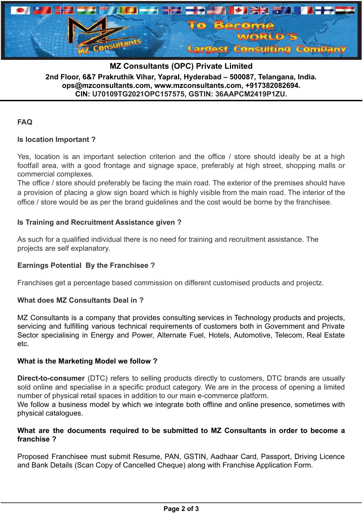

**MZ Consultants (OPC) Private Limited 2nd Floor, 6&7 Prakruthik Vihar, Yapral, Hyderabad – 500087, Telangana, India. ops@mzconsultants.com, www.mzconsultants.com, +917382082694. CIN: U70109TG2021OPC157575, GSTIN: 36AAPCM2419P1ZU.**

## **FAQ**

#### **Is location Important ?**

Yes, location is an important selection criterion and the office / store should ideally be at a high footfall area, with a good frontage and signage space, preferably at high street, shopping malls or commercial complexes.

The office / store should preferably be facing the main road. The exterior of the premises should have a provision of placing a glow sign board which is highly visible from the main road. The interior of the office / store would be as per the brand guidelines and the cost would be borne by the franchisee.

#### **Is Training and Recruitment Assistance given ?**

As such for a qualified individual there is no need for training and recruitment assistance. The projects are self explanatory.

#### **Earnings Potential By the Franchisee ?**

Franchises get a percentage based commission on different customised products and projectz.

#### **What does MZ Consultants Deal in ?**

MZ Consultants is a company that provides consulting services in Technology products and projects, servicing and fulfilling various technical requirements of customers both in Government and Private Sector specialising in Energy and Power, Alternate Fuel, Hotels, Automotive, Telecom, Real Estate etc.

#### **What is the Marketing Model we follow ?**

**Direct-to-consumer** (DTC) refers to selling products directly to customers, DTC brands are usually sold online and specialise in a specific product category. We are in the process of opening a limited number of physical retail spaces in addition to our main e-commerce platform.

We follow a business model by which we integrate both offline and online presence, sometimes with physical catalogues.

#### **What are the documents required to be submitted to MZ Consultants in order to become a franchise ?**

Proposed Franchisee must submit Resume, PAN, GSTIN, Aadhaar Card, Passport, Driving Licence and Bank Details (Scan Copy of Cancelled Cheque) along with Franchise Application Form.